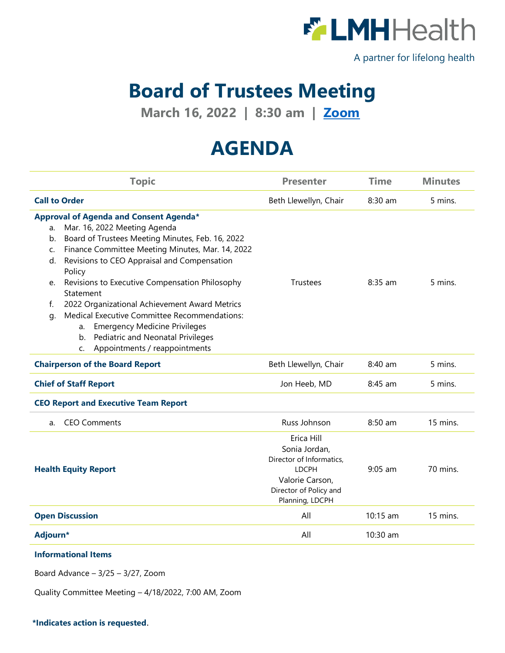

A partner for lifelong health

## **Board of Trustees Meeting**

**March 16, 2022 | 8:30 am | [Zoom](https://lmh-health-org.zoom.us/j/92788462491)**

## **AGENDA**

| <b>Topic</b>                                                                                                                                                                                                                                                                                                                                                                                                                                                                                                                                                                      | <b>Presenter</b>                                                                                                                        | <b>Time</b> | <b>Minutes</b> |
|-----------------------------------------------------------------------------------------------------------------------------------------------------------------------------------------------------------------------------------------------------------------------------------------------------------------------------------------------------------------------------------------------------------------------------------------------------------------------------------------------------------------------------------------------------------------------------------|-----------------------------------------------------------------------------------------------------------------------------------------|-------------|----------------|
| <b>Call to Order</b>                                                                                                                                                                                                                                                                                                                                                                                                                                                                                                                                                              | Beth Llewellyn, Chair                                                                                                                   | $8:30$ am   | 5 mins.        |
| Approval of Agenda and Consent Agenda*<br>Mar. 16, 2022 Meeting Agenda<br>a.<br>Board of Trustees Meeting Minutes, Feb. 16, 2022<br>b.<br>Finance Committee Meeting Minutes, Mar. 14, 2022<br>C.<br>Revisions to CEO Appraisal and Compensation<br>d.<br>Policy<br>Revisions to Executive Compensation Philosophy<br>e.<br>Statement<br>2022 Organizational Achievement Award Metrics<br>f.<br>Medical Executive Committee Recommendations:<br>q.<br><b>Emergency Medicine Privileges</b><br>a.<br>Pediatric and Neonatal Privileges<br>b.<br>Appointments / reappointments<br>C. | Trustees                                                                                                                                | 8:35 am     | 5 mins.        |
| <b>Chairperson of the Board Report</b>                                                                                                                                                                                                                                                                                                                                                                                                                                                                                                                                            | Beth Llewellyn, Chair                                                                                                                   | $8:40$ am   | 5 mins.        |
| <b>Chief of Staff Report</b>                                                                                                                                                                                                                                                                                                                                                                                                                                                                                                                                                      | Jon Heeb, MD                                                                                                                            | 8:45 am     | 5 mins.        |
| <b>CEO Report and Executive Team Report</b>                                                                                                                                                                                                                                                                                                                                                                                                                                                                                                                                       |                                                                                                                                         |             |                |
| <b>CEO Comments</b><br>a.                                                                                                                                                                                                                                                                                                                                                                                                                                                                                                                                                         | Russ Johnson                                                                                                                            | $8:50$ am   | 15 mins.       |
| <b>Health Equity Report</b>                                                                                                                                                                                                                                                                                                                                                                                                                                                                                                                                                       | Erica Hill<br>Sonia Jordan,<br>Director of Informatics,<br><b>LDCPH</b><br>Valorie Carson,<br>Director of Policy and<br>Planning, LDCPH | $9:05$ am   | 70 mins.       |
| <b>Open Discussion</b>                                                                                                                                                                                                                                                                                                                                                                                                                                                                                                                                                            | All                                                                                                                                     | $10:15$ am  | 15 mins.       |
| Adjourn*                                                                                                                                                                                                                                                                                                                                                                                                                                                                                                                                                                          | All                                                                                                                                     | 10:30 am    |                |

## **Informational Items**

Board Advance – 3/25 – 3/27, Zoom

Quality Committee Meeting – 4/18/2022, 7:00 AM, Zoom